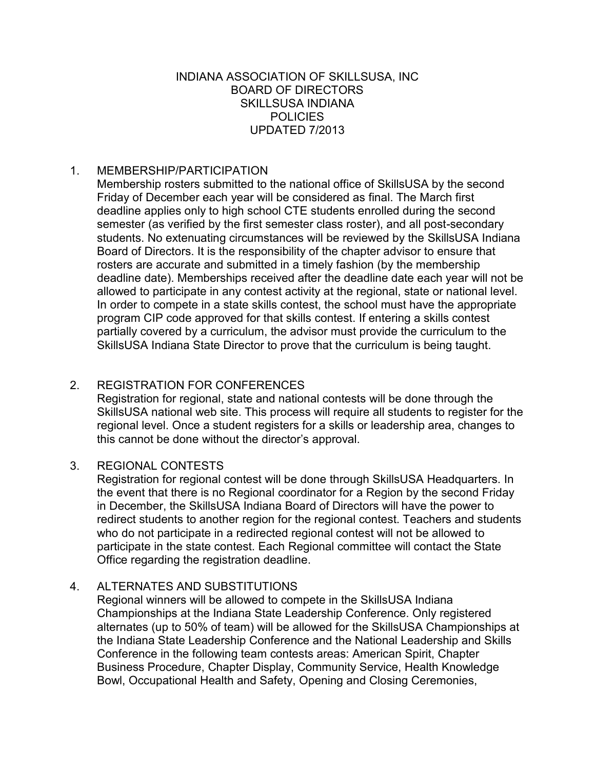## INDIANA ASSOCIATION OF SKILLSUSA, INC BOARD OF DIRECTORS SKILLSUSA INDIANA **POLICIES** UPDATED 7/2013

## 1. MEMBERSHIP/PARTICIPATION

Membership rosters submitted to the national office of SkillsUSA by the second Friday of December each year will be considered as final. The March first deadline applies only to high school CTE students enrolled during the second semester (as verified by the first semester class roster), and all post-secondary students. No extenuating circumstances will be reviewed by the SkillsUSA Indiana Board of Directors. It is the responsibility of the chapter advisor to ensure that rosters are accurate and submitted in a timely fashion (by the membership deadline date). Memberships received after the deadline date each year will not be allowed to participate in any contest activity at the regional, state or national level. In order to compete in a state skills contest, the school must have the appropriate program CIP code approved for that skills contest. If entering a skills contest partially covered by a curriculum, the advisor must provide the curriculum to the SkillsUSA Indiana State Director to prove that the curriculum is being taught.

## 2. REGISTRATION FOR CONFERENCES

Registration for regional, state and national contests will be done through the SkillsUSA national web site. This process will require all students to register for the regional level. Once a student registers for a skills or leadership area, changes to this cannot be done without the director's approval.

## 3. REGIONAL CONTESTS

Registration for regional contest will be done through SkillsUSA Headquarters. In the event that there is no Regional coordinator for a Region by the second Friday in December, the SkillsUSA Indiana Board of Directors will have the power to redirect students to another region for the regional contest. Teachers and students who do not participate in a redirected regional contest will not be allowed to participate in the state contest. Each Regional committee will contact the State Office regarding the registration deadline.

## 4. ALTERNATES AND SUBSTITUTIONS

Regional winners will be allowed to compete in the SkillsUSA Indiana Championships at the Indiana State Leadership Conference. Only registered alternates (up to 50% of team) will be allowed for the SkillsUSA Championships at the Indiana State Leadership Conference and the National Leadership and Skills Conference in the following team contests areas: American Spirit, Chapter Business Procedure, Chapter Display, Community Service, Health Knowledge Bowl, Occupational Health and Safety, Opening and Closing Ceremonies,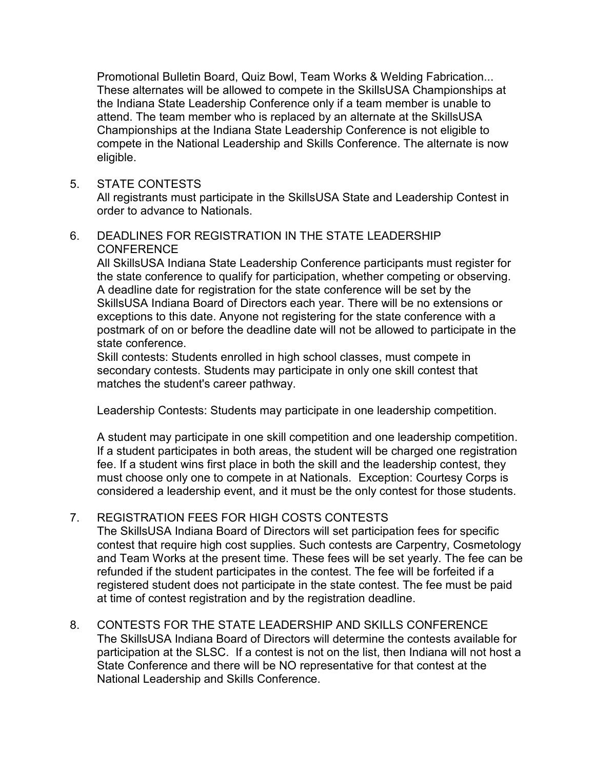Promotional Bulletin Board, Quiz Bowl, Team Works & Welding Fabrication... These alternates will be allowed to compete in the SkillsUSA Championships at the Indiana State Leadership Conference only if a team member is unable to attend. The team member who is replaced by an alternate at the SkillsUSA Championships at the Indiana State Leadership Conference is not eligible to compete in the National Leadership and Skills Conference. The alternate is now eligible.

## 5. STATE CONTESTS

All registrants must participate in the SkillsUSA State and Leadership Contest in order to advance to Nationals.

## 6. DEADLINES FOR REGISTRATION IN THE STATE LEADERSHIP CONFERENCE

All SkillsUSA Indiana State Leadership Conference participants must register for the state conference to qualify for participation, whether competing or observing. A deadline date for registration for the state conference will be set by the SkillsUSA Indiana Board of Directors each year. There will be no extensions or exceptions to this date. Anyone not registering for the state conference with a postmark of on or before the deadline date will not be allowed to participate in the state conference.

Skill contests: Students enrolled in high school classes, must compete in secondary contests. Students may participate in only one skill contest that matches the student's career pathway.

Leadership Contests: Students may participate in one leadership competition.

A student may participate in one skill competition and one leadership competition. If a student participates in both areas, the student will be charged one registration fee. If a student wins first place in both the skill and the leadership contest, they must choose only one to compete in at Nationals. Exception: Courtesy Corps is considered a leadership event, and it must be the only contest for those students.

## 7. REGISTRATION FEES FOR HIGH COSTS CONTESTS

The SkillsUSA Indiana Board of Directors will set participation fees for specific contest that require high cost supplies. Such contests are Carpentry, Cosmetology and Team Works at the present time. These fees will be set yearly. The fee can be refunded if the student participates in the contest. The fee will be forfeited if a registered student does not participate in the state contest. The fee must be paid at time of contest registration and by the registration deadline.

8. CONTESTS FOR THE STATE LEADERSHIP AND SKILLS CONFERENCE The SkillsUSA Indiana Board of Directors will determine the contests available for participation at the SLSC. If a contest is not on the list, then Indiana will not host a State Conference and there will be NO representative for that contest at the National Leadership and Skills Conference.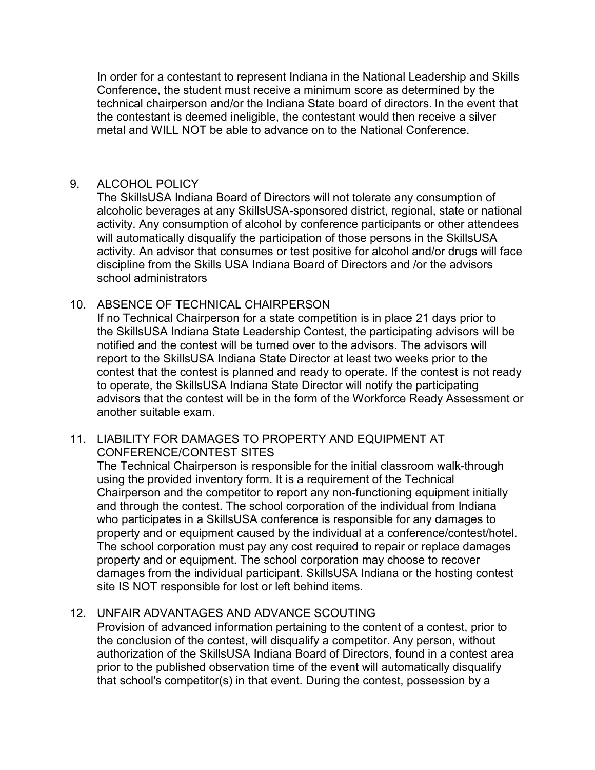In order for a contestant to represent Indiana in the National Leadership and Skills Conference, the student must receive a minimum score as determined by the technical chairperson and/or the Indiana State board of directors. In the event that the contestant is deemed ineligible, the contestant would then receive a silver metal and WILL NOT be able to advance on to the National Conference.

### 9. ALCOHOL POLICY

The SkillsUSA Indiana Board of Directors will not tolerate any consumption of alcoholic beverages at any SkillsUSA-sponsored district, regional, state or national activity. Any consumption of alcohol by conference participants or other attendees will automatically disqualify the participation of those persons in the SkillsUSA activity. An advisor that consumes or test positive for alcohol and/or drugs will face discipline from the Skills USA Indiana Board of Directors and /or the advisors school administrators

## 10. ABSENCE OF TECHNICAL CHAIRPERSON

If no Technical Chairperson for a state competition is in place 21 days prior to the SkillsUSA Indiana State Leadership Contest, the participating advisors will be notified and the contest will be turned over to the advisors. The advisors will report to the SkillsUSA Indiana State Director at least two weeks prior to the contest that the contest is planned and ready to operate. If the contest is not ready to operate, the SkillsUSA Indiana State Director will notify the participating advisors that the contest will be in the form of the Workforce Ready Assessment or another suitable exam.

## 11. LIABILITY FOR DAMAGES TO PROPERTY AND EQUIPMENT AT CONFERENCE/CONTEST SITES

The Technical Chairperson is responsible for the initial classroom walk-through using the provided inventory form. It is a requirement of the Technical Chairperson and the competitor to report any non-functioning equipment initially and through the contest. The school corporation of the individual from Indiana who participates in a SkillsUSA conference is responsible for any damages to property and or equipment caused by the individual at a conference/contest/hotel. The school corporation must pay any cost required to repair or replace damages property and or equipment. The school corporation may choose to recover damages from the individual participant. SkillsUSA Indiana or the hosting contest site IS NOT responsible for lost or left behind items.

## 12. UNFAIR ADVANTAGES AND ADVANCE SCOUTING

Provision of advanced information pertaining to the content of a contest, prior to the conclusion of the contest, will disqualify a competitor. Any person, without authorization of the SkillsUSA Indiana Board of Directors, found in a contest area prior to the published observation time of the event will automatically disqualify that school's competitor(s) in that event. During the contest, possession by a